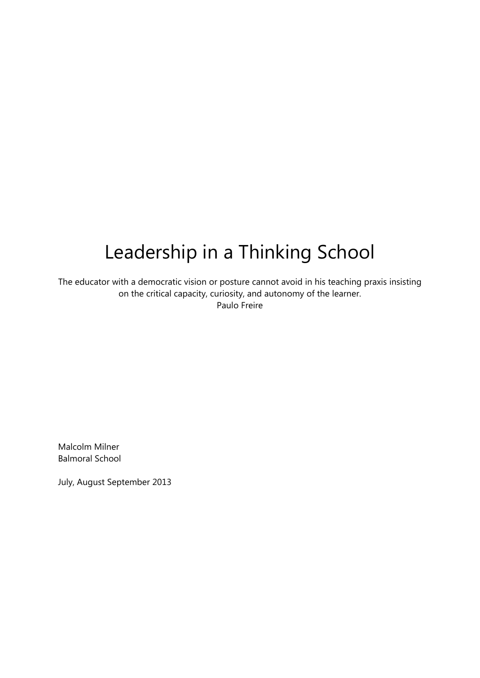# Leadership in a Thinking School

The educator with a democratic vision or posture cannot avoid in his teaching praxis insisting on the critical capacity, curiosity, and autonomy of the learner. Paulo Freire

Malcolm Milner Balmoral School

July, August September 2013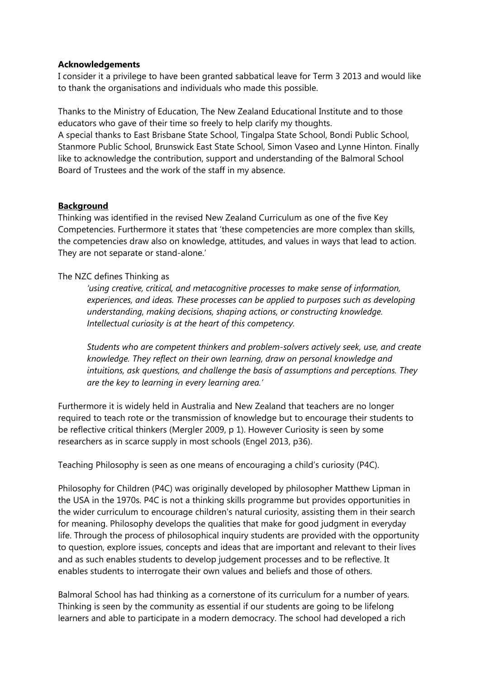#### **Acknowledgements**

I consider it a privilege to have been granted sabbatical leave for Term 3 2013 and would like to thank the organisations and individuals who made this possible.

Thanks to the Ministry of Education, The New Zealand Educational Institute and to those educators who gave of their time so freely to help clarify my thoughts. A special thanks to East Brisbane State School, Tingalpa State School, Bondi Public School, Stanmore Public School, Brunswick East State School, Simon Vaseo and Lynne Hinton. Finally like to acknowledge the contribution, support and understanding of the Balmoral School Board of Trustees and the work of the staff in my absence.

# **Background**

Thinking was identified in the revised New Zealand Curriculum as one of the five Key Competencies. Furthermore it states that 'these competencies are more complex than skills, the competencies draw also on knowledge, attitudes, and values in ways that lead to action. They are not separate or stand-alone.'

#### The NZC defines Thinking as

*'using creative, critical, and metacognitive processes to make sense of information, experiences, and ideas. These processes can be applied to purposes such as developing understanding, making decisions, shaping actions, or constructing knowledge. Intellectual curiosity is at the heart of this competency.* 

*Students who are competent thinkers and problem-solvers actively seek, use, and create knowledge. They reflect on their own learning, draw on personal knowledge and intuitions, ask questions, and challenge the basis of assumptions and perceptions. They are the key to learning in every learning area.'* 

Furthermore it is widely held in Australia and New Zealand that teachers are no longer required to teach rote or the transmission of knowledge but to encourage their students to be reflective critical thinkers (Mergler 2009, p 1). However Curiosity is seen by some researchers as in scarce supply in most schools (Engel 2013, p36).

Teaching Philosophy is seen as one means of encouraging a child's curiosity (P4C).

Philosophy for Children (P4C) was originally developed by philosopher Matthew Lipman in the USA in the 1970s. P4C is not a thinking skills programme but provides opportunities in the wider curriculum to encourage children's natural curiosity, assisting them in their search for meaning. Philosophy develops the qualities that make for good judgment in everyday life. Through the process of philosophical inquiry students are provided with the opportunity to question, explore issues, concepts and ideas that are important and relevant to their lives and as such enables students to develop judgement processes and to be reflective. It enables students to interrogate their own values and beliefs and those of others.

Balmoral School has had thinking as a cornerstone of its curriculum for a number of years. Thinking is seen by the community as essential if our students are going to be lifelong learners and able to participate in a modern democracy. The school had developed a rich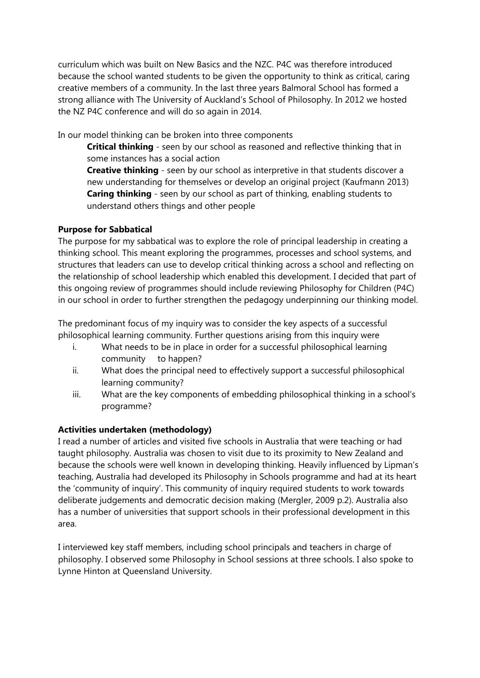curriculum which was built on New Basics and the NZC. P4C was therefore introduced because the school wanted students to be given the opportunity to think as critical, caring creative members of a community. In the last three years Balmoral School has formed a strong alliance with The University of Auckland's School of Philosophy. In 2012 we hosted the NZ P4C conference and will do so again in 2014.

In our model thinking can be broken into three components

**Critical thinking** - seen by our school as reasoned and reflective thinking that in some instances has a social action

**Creative thinking** - seen by our school as interpretive in that students discover a new understanding for themselves or develop an original project (Kaufmann 2013) **Caring thinking** - seen by our school as part of thinking, enabling students to understand others things and other people

# **Purpose for Sabbatical**

The purpose for my sabbatical was to explore the role of principal leadership in creating a thinking school. This meant exploring the programmes, processes and school systems, and structures that leaders can use to develop critical thinking across a school and reflecting on the relationship of school leadership which enabled this development. I decided that part of this ongoing review of programmes should include reviewing Philosophy for Children (P4C) in our school in order to further strengthen the pedagogy underpinning our thinking model.

The predominant focus of my inquiry was to consider the key aspects of a successful philosophical learning community. Further questions arising from this inquiry were

- i. What needs to be in place in order for a successful philosophical learning community to happen?
- ii. What does the principal need to effectively support a successful philosophical learning community?
- iii. What are the key components of embedding philosophical thinking in a school's programme?

# **Activities undertaken (methodology)**

I read a number of articles and visited five schools in Australia that were teaching or had taught philosophy. Australia was chosen to visit due to its proximity to New Zealand and because the schools were well known in developing thinking. Heavily influenced by Lipman's teaching, Australia had developed its Philosophy in Schools programme and had at its heart the 'community of inquiry'. This community of inquiry required students to work towards deliberate judgements and democratic decision making (Mergler, 2009 p.2). Australia also has a number of universities that support schools in their professional development in this area.

I interviewed key staff members, including school principals and teachers in charge of philosophy. I observed some Philosophy in School sessions at three schools. I also spoke to Lynne Hinton at Queensland University.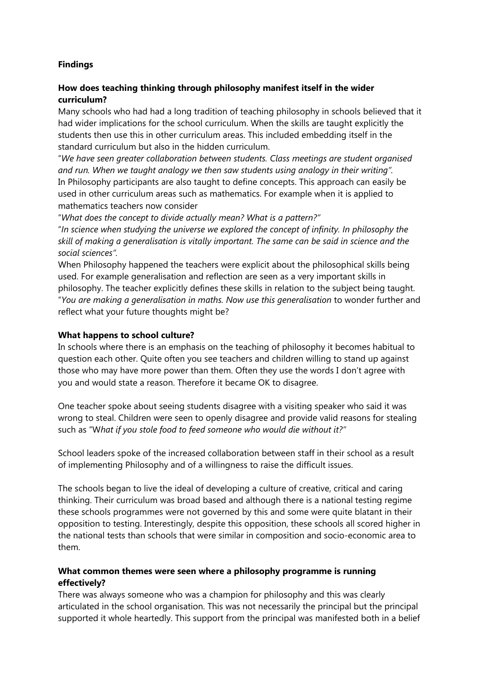# **Findings**

### **How does teaching thinking through philosophy manifest itself in the wider curriculum?**

Many schools who had had a long tradition of teaching philosophy in schools believed that it had wider implications for the school curriculum. When the skills are taught explicitly the students then use this in other curriculum areas. This included embedding itself in the standard curriculum but also in the hidden curriculum.

"*We have seen greater collaboration between students. Class meetings are student organised and run. When we taught analogy we then saw students using analogy in their writing".* In Philosophy participants are also taught to define concepts. This approach can easily be used in other curriculum areas such as mathematics. For example when it is applied to mathematics teachers now consider

"*What does the concept to divide actually mean? What is a pattern?"* 

"*In science when studying the universe we explored the concept of infinity. In philosophy the skill of making a generalisation is vitally important. The same can be said in science and the social sciences".*

When Philosophy happened the teachers were explicit about the philosophical skills being used. For example generalisation and reflection are seen as a very important skills in philosophy. The teacher explicitly defines these skills in relation to the subject being taught. "*You are making a generalisation in maths. Now use this generalisation* to wonder further and reflect what your future thoughts might be?

#### **What happens to school culture?**

In schools where there is an emphasis on the teaching of philosophy it becomes habitual to question each other. Quite often you see teachers and children willing to stand up against those who may have more power than them. Often they use the words I don't agree with you and would state a reason. Therefore it became OK to disagree.

One teacher spoke about seeing students disagree with a visiting speaker who said it was wrong to steal. Children were seen to openly disagree and provide valid reasons for stealing such as "W*hat if you stole food to feed someone who would die without it?"*

School leaders spoke of the increased collaboration between staff in their school as a result of implementing Philosophy and of a willingness to raise the difficult issues.

The schools began to live the ideal of developing a culture of creative, critical and caring thinking. Their curriculum was broad based and although there is a national testing regime these schools programmes were not governed by this and some were quite blatant in their opposition to testing. Interestingly, despite this opposition, these schools all scored higher in the national tests than schools that were similar in composition and socio-economic area to them.

# **What common themes were seen where a philosophy programme is running effectively?**

There was always someone who was a champion for philosophy and this was clearly articulated in the school organisation. This was not necessarily the principal but the principal supported it whole heartedly. This support from the principal was manifested both in a belief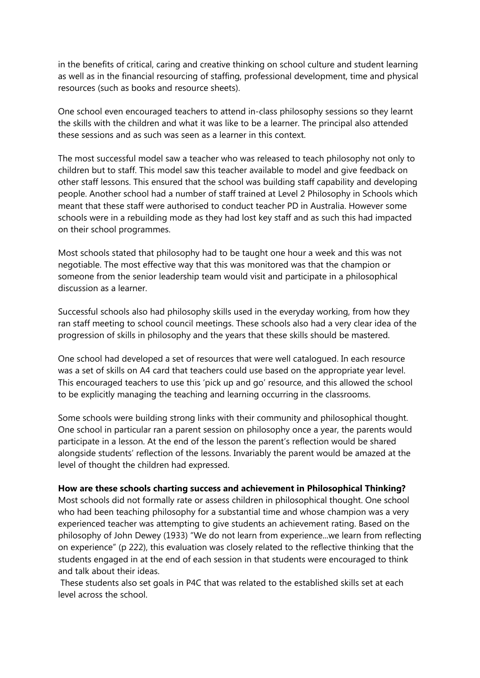in the benefits of critical, caring and creative thinking on school culture and student learning as well as in the financial resourcing of staffing, professional development, time and physical resources (such as books and resource sheets).

One school even encouraged teachers to attend in-class philosophy sessions so they learnt the skills with the children and what it was like to be a learner. The principal also attended these sessions and as such was seen as a learner in this context.

The most successful model saw a teacher who was released to teach philosophy not only to children but to staff. This model saw this teacher available to model and give feedback on other staff lessons. This ensured that the school was building staff capability and developing people. Another school had a number of staff trained at Level 2 Philosophy in Schools which meant that these staff were authorised to conduct teacher PD in Australia. However some schools were in a rebuilding mode as they had lost key staff and as such this had impacted on their school programmes.

Most schools stated that philosophy had to be taught one hour a week and this was not negotiable. The most effective way that this was monitored was that the champion or someone from the senior leadership team would visit and participate in a philosophical discussion as a learner.

Successful schools also had philosophy skills used in the everyday working, from how they ran staff meeting to school council meetings. These schools also had a very clear idea of the progression of skills in philosophy and the years that these skills should be mastered.

One school had developed a set of resources that were well catalogued. In each resource was a set of skills on A4 card that teachers could use based on the appropriate year level. This encouraged teachers to use this 'pick up and go' resource, and this allowed the school to be explicitly managing the teaching and learning occurring in the classrooms.

Some schools were building strong links with their community and philosophical thought. One school in particular ran a parent session on philosophy once a year, the parents would participate in a lesson. At the end of the lesson the parent's reflection would be shared alongside students' reflection of the lessons. Invariably the parent would be amazed at the level of thought the children had expressed.

#### **How are these schools charting success and achievement in Philosophical Thinking?**

Most schools did not formally rate or assess children in philosophical thought. One school who had been teaching philosophy for a substantial time and whose champion was a very experienced teacher was attempting to give students an achievement rating. Based on the philosophy of John Dewey (1933) "We do not learn from experience...we learn from reflecting on experience" (p 222), this evaluation was closely related to the reflective thinking that the students engaged in at the end of each session in that students were encouraged to think and talk about their ideas.

 These students also set goals in P4C that was related to the established skills set at each level across the school.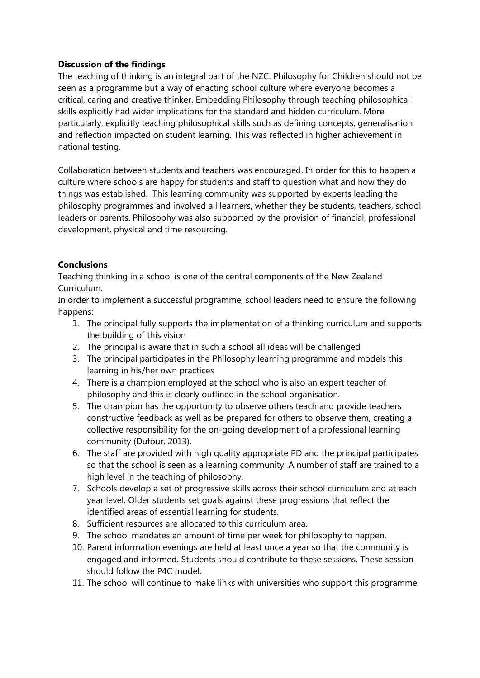# **Discussion of the findings**

The teaching of thinking is an integral part of the NZC. Philosophy for Children should not be seen as a programme but a way of enacting school culture where everyone becomes a critical, caring and creative thinker. Embedding Philosophy through teaching philosophical skills explicitly had wider implications for the standard and hidden curriculum. More particularly, explicitly teaching philosophical skills such as defining concepts, generalisation and reflection impacted on student learning. This was reflected in higher achievement in national testing.

Collaboration between students and teachers was encouraged. In order for this to happen a culture where schools are happy for students and staff to question what and how they do things was established. This learning community was supported by experts leading the philosophy programmes and involved all learners, whether they be students, teachers, school leaders or parents. Philosophy was also supported by the provision of financial, professional development, physical and time resourcing.

# **Conclusions**

Teaching thinking in a school is one of the central components of the New Zealand Curriculum.

In order to implement a successful programme, school leaders need to ensure the following happens:

- 1. The principal fully supports the implementation of a thinking curriculum and supports the building of this vision
- 2. The principal is aware that in such a school all ideas will be challenged
- 3. The principal participates in the Philosophy learning programme and models this learning in his/her own practices
- 4. There is a champion employed at the school who is also an expert teacher of philosophy and this is clearly outlined in the school organisation.
- 5. The champion has the opportunity to observe others teach and provide teachers constructive feedback as well as be prepared for others to observe them, creating a collective responsibility for the on-going development of a professional learning community (Dufour, 2013).
- 6. The staff are provided with high quality appropriate PD and the principal participates so that the school is seen as a learning community. A number of staff are trained to a high level in the teaching of philosophy.
- 7. Schools develop a set of progressive skills across their school curriculum and at each year level. Older students set goals against these progressions that reflect the identified areas of essential learning for students.
- 8. Sufficient resources are allocated to this curriculum area.
- 9. The school mandates an amount of time per week for philosophy to happen.
- 10. Parent information evenings are held at least once a year so that the community is engaged and informed. Students should contribute to these sessions. These session should follow the P4C model.
- 11. The school will continue to make links with universities who support this programme.